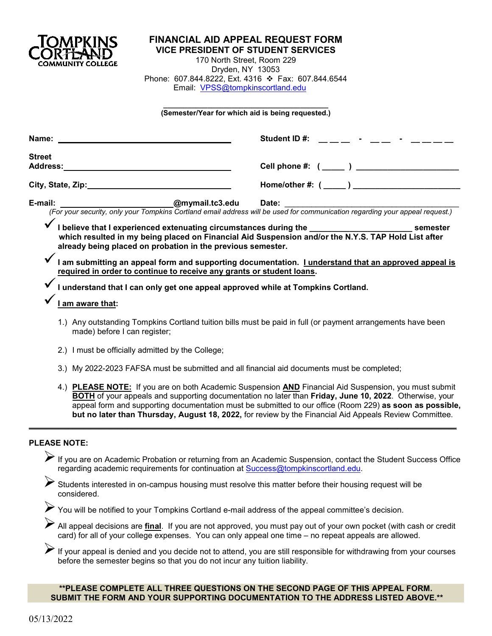

# **FINANCIAL AID APPEAL REQUEST FORM**

**VICE PRESIDENT OF STUDENT SERVICES** 170 North Street, Room 229 Dryden, NY 13053 Phone: 607.844.8222, Ext. 4316 ❖ Fax: 607.844.6544 Email: [VPSS@tompkinscortland.edu](mailto:VPSS@tompkinscortland.edu)

#### **\_\_\_\_\_\_\_\_\_\_\_\_\_\_\_\_\_\_\_\_\_\_\_\_\_\_\_\_\_\_\_\_\_\_\_\_\_\_\_\_\_ (Semester/Year for which aid is being requested.)**

| Name:         |                                                                                                                                                                               | Student ID#:<br>and the state of the state of the                                                                                                                                                                                                                                                                                                                                                                                            |  |
|---------------|-------------------------------------------------------------------------------------------------------------------------------------------------------------------------------|----------------------------------------------------------------------------------------------------------------------------------------------------------------------------------------------------------------------------------------------------------------------------------------------------------------------------------------------------------------------------------------------------------------------------------------------|--|
| <b>Street</b> | Address: Andreas Address: Address: Address: Address: Address: Address: Address: Address: Address: A                                                                           | Cell phone #: (______ ) ________________________                                                                                                                                                                                                                                                                                                                                                                                             |  |
|               |                                                                                                                                                                               |                                                                                                                                                                                                                                                                                                                                                                                                                                              |  |
| E-mail:       |                                                                                                                                                                               |                                                                                                                                                                                                                                                                                                                                                                                                                                              |  |
|               | already being placed on probation in the previous semester.                                                                                                                   | I believe that I experienced extenuating circumstances during the ___________________________ semester<br>which resulted in my being placed on Financial Aid Suspension and/or the N.Y.S. TAP Hold List after                                                                                                                                                                                                                                |  |
|               | I am submitting an appeal form and supporting documentation. I understand that an approved appeal is<br>required in order to continue to receive any grants or student loans. |                                                                                                                                                                                                                                                                                                                                                                                                                                              |  |
|               | I understand that I can only get one appeal approved while at Tompkins Cortland.                                                                                              |                                                                                                                                                                                                                                                                                                                                                                                                                                              |  |
|               | am aware that:                                                                                                                                                                |                                                                                                                                                                                                                                                                                                                                                                                                                                              |  |
|               | made) before I can register;                                                                                                                                                  | 1.) Any outstanding Tompkins Cortland tuition bills must be paid in full (or payment arrangements have been                                                                                                                                                                                                                                                                                                                                  |  |
|               | 2.) I must be officially admitted by the College;                                                                                                                             |                                                                                                                                                                                                                                                                                                                                                                                                                                              |  |
|               | 3.) My 2022-2023 FAFSA must be submitted and all financial aid documents must be completed;                                                                                   |                                                                                                                                                                                                                                                                                                                                                                                                                                              |  |
|               |                                                                                                                                                                               | 4.) PLEASE NOTE: If you are on both Academic Suspension AND Financial Aid Suspension, you must submit<br><b>BOTH</b> of your appeals and supporting documentation no later than Friday, June 10, 2022. Otherwise, your<br>appeal form and supporting documentation must be submitted to our office (Room 229) as soon as possible,<br>but no later than Thursday, August 18, 2022, for review by the Financial Aid Appeals Review Committee. |  |

## **PLEASE NOTE:**

If you are on Academic Probation or returning from an Academic Suspension, contact the Student Success Office regarding academic requirements for continuation at [Success@tompkinscortland.edu.](mailto:Success@tompkinscortland.edu)

Students interested in on-campus housing must resolve this matter before their housing request will be considered.

\_\_\_\_\_\_\_\_\_\_\_\_\_\_\_\_\_\_\_\_\_\_\_\_\_\_\_\_\_\_\_\_\_\_\_\_\_\_\_\_\_\_\_\_\_\_\_\_\_\_\_\_\_\_\_\_\_\_\_\_\_\_\_\_\_\_\_\_\_\_\_\_\_\_\_\_\_\_\_\_\_\_\_\_\_\_\_

You will be notified to your Tompkins Cortland e-mail address of the appeal committee's decision.

All appeal decisions are **final**. If you are not approved, you must pay out of your own pocket (with cash or credit card) for all of your college expenses. You can only appeal one time – no repeat appeals are allowed.

 $\blacktriangleright$  If your appeal is denied and you decide not to attend, you are still responsible for withdrawing from your courses before the semester begins so that you do not incur any tuition liability.

### **\*\*PLEASE COMPLETE ALL THREE QUESTIONS ON THE SECOND PAGE OF THIS APPEAL FORM. SUBMIT THE FORM AND YOUR SUPPORTING DOCUMENTATION TO THE ADDRESS LISTED ABOVE.\*\***